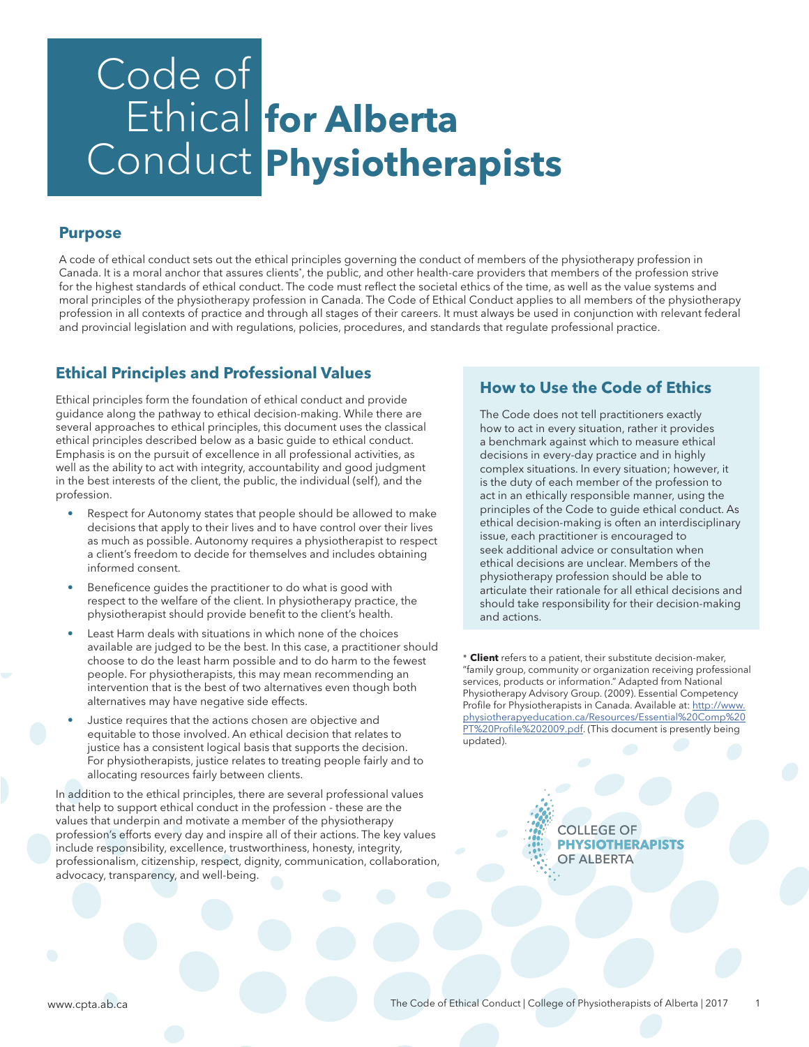# Code of Ethical **for Alberta**  Conduct **Physiotherapists**

## **Purpose**

A code of ethical conduct sets out the ethical principles governing the conduct of members of the physiotherapy profession in Canada. It is a moral anchor that assures clients\*, the public, and other health-care providers that members of the profession strive for the highest standards of ethical conduct. The code must reflect the societal ethics of the time, as well as the value systems and moral principles of the physiotherapy profession in Canada. The Code of Ethical Conduct applies to all members of the physiotherapy profession in all contexts of practice and through all stages of their careers. It must always be used in conjunction with relevant federal and provincial legislation and with regulations, policies, procedures, and standards that regulate professional practice.

## **Ethical Principles and Professional Values**

Ethical principles form the foundation of ethical conduct and provide guidance along the pathway to ethical decision-making. While there are several approaches to ethical principles, this document uses the classical ethical principles described below as a basic guide to ethical conduct. Emphasis is on the pursuit of excellence in all professional activities, as well as the ability to act with integrity, accountability and good judgment in the best interests of the client, the public, the individual (self), and the profession.

- Respect for Autonomy states that people should be allowed to make decisions that apply to their lives and to have control over their lives as much as possible. Autonomy requires a physiotherapist to respect a client's freedom to decide for themselves and includes obtaining informed consent.
- Beneficence guides the practitioner to do what is good with respect to the welfare of the client. In physiotherapy practice, the physiotherapist should provide benefit to the client's health.
- Least Harm deals with situations in which none of the choices available are judged to be the best. In this case, a practitioner should choose to do the least harm possible and to do harm to the fewest people. For physiotherapists, this may mean recommending an intervention that is the best of two alternatives even though both alternatives may have negative side effects.
- Justice requires that the actions chosen are objective and equitable to those involved. An ethical decision that relates to justice has a consistent logical basis that supports the decision. For physiotherapists, justice relates to treating people fairly and to allocating resources fairly between clients.

In addition to the ethical principles, there are several professional values that help to support ethical conduct in the profession - these are the values that underpin and motivate a member of the physiotherapy profession's efforts every day and inspire all of their actions. The key values include responsibility, excellence, trustworthiness, honesty, integrity, professionalism, citizenship, respect, dignity, communication, collaboration, advocacy, transparency, and well-being.

## **How to Use the Code of Ethics**

The Code does not tell practitioners exactly how to act in every situation, rather it provides a benchmark against which to measure ethical decisions in every-day practice and in highly complex situations. In every situation; however, it is the duty of each member of the profession to act in an ethically responsible manner, using the principles of the Code to guide ethical conduct. As ethical decision-making is often an interdisciplinary issue, each practitioner is encouraged to seek additional advice or consultation when ethical decisions are unclear. Members of the physiotherapy profession should be able to articulate their rationale for all ethical decisions and should take responsibility for their decision-making and actions.

\* **Client** refers to a patient, their substitute decision-maker, "family group, community or organization receiving professional services, products or information." Adapted from National Physiotherapy Advisory Group. (2009). Essential Competency Profile for Physiotherapists in Canada. Available at: http://www. physiotherapyeducation.ca/Resources/Essential%20Comp%20 PT%20Profile%202009.pdf. (This document is presently being updated).

> **COLLEGE OF PHYSIOTHERAPISTS OF ALBERTA**